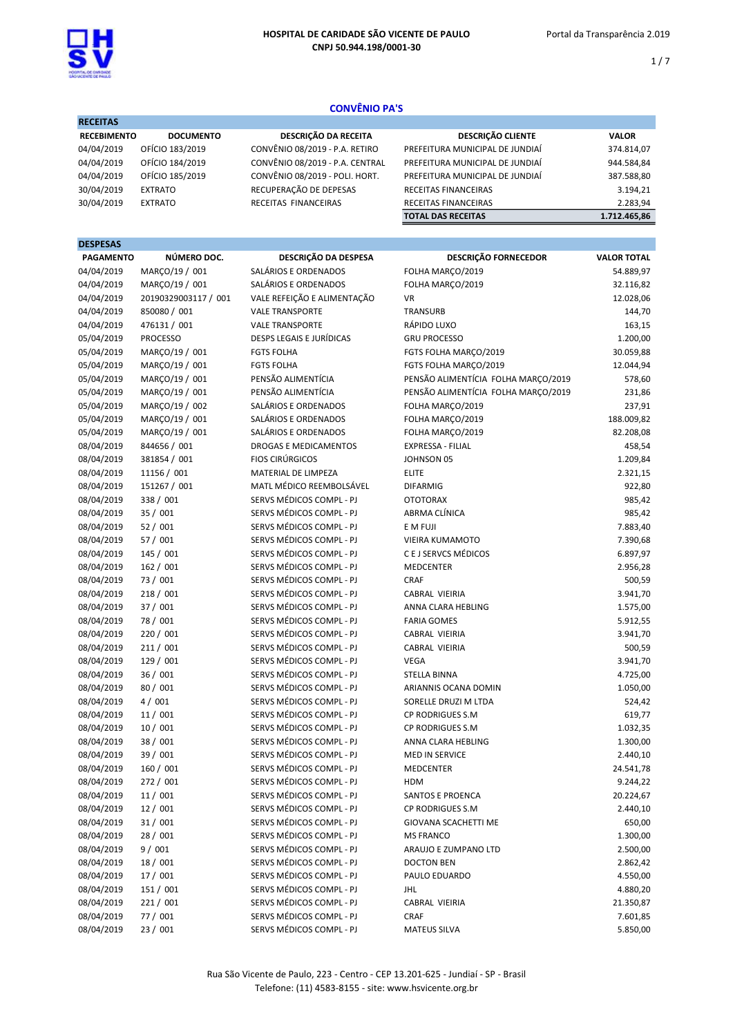

 $1/7$ 

# CONVÊNIO PA'S

| <b>RECEITAS</b>    |                  |                   |
|--------------------|------------------|-------------------|
| <b>RECEBIMENTO</b> | <b>DOCUMENTO</b> | <b>DESCRIÇÃO</b>  |
| 04/04/2019         | OFÍCIO 183/2019  | CONVÊNIO 08/2019  |
| 04/04/2019         | OFÍCIO 184/2019  | CONVÊNIO 08/2019  |
| 04/04/2019         | OFÍCIO 185/2019  | CONVÊNIO 08/2019  |
| 30/04/2019         | <b>EXTRATO</b>   | RECUPERAÇÃO DE D  |
| 30/04/2019         | <b>EXTRATO</b>   | RECEITAS FINANCEI |
|                    |                  |                   |

| <b>DA RECEITA</b> | <b>DESCRIÇÃO CLIE</b>      |
|-------------------|----------------------------|
| - P.A. RETIRO     | PREFEITURA MUNICIPAL DE JU |
| - P.A. CENTRAL    | PREFEITURA MUNICIPAL DE JU |
| - POLI. HORT.     | PREFEITURA MUNICIPAL DE JU |
| <b>EPESAS</b>     | RECEITAS FINANCEIRAS       |
| <b>RAS</b>        | RECEITAS FINANCEIRAS       |
|                   |                            |

| <b>RECEBIMENTO</b> | <b>DOCUMENTO</b> | DESCRIÇÃO DA RECEITA            | <b>DESCRICÃO CLIENTE</b>        | <b>VALOR</b> |
|--------------------|------------------|---------------------------------|---------------------------------|--------------|
| 04/04/2019         | OFÍCIO 183/2019  | CONVÊNIO 08/2019 - P.A. RETIRO  | PREFEITURA MUNICIPAL DE JUNDIAÍ | 374.814,07   |
| 04/04/2019         | OFÍCIO 184/2019  | CONVÊNIO 08/2019 - P.A. CENTRAL | PREFEITURA MUNICIPAL DE JUNDIAÍ | 944.584,84   |
| 04/04/2019         | OFÍCIO 185/2019  | CONVÊNIO 08/2019 - POLI. HORT.  | PREFEITURA MUNICIPAL DE JUNDIAÍ | 387.588,80   |
| 30/04/2019         | <b>EXTRATO</b>   | RECUPERAÇÃO DE DEPESAS          | <b>RECEITAS FINANCEIRAS</b>     | 3.194.21     |
| 30/04/2019         | <b>EXTRATO</b>   | RECEITAS FINANCEIRAS            | RECEITAS FINANCEIRAS            | 2.283,94     |
|                    |                  |                                 | <b>TOTAL DAS RECEITAS</b>       | 1.712.465.86 |

## DESPESAS

| <b>PAGAMENTO</b> | NÚMERO DOC.          | DESCRIÇÃO DA DESPESA         | <b>DESCRIÇÃO FORNECEDOR</b>         | <b>VALOR TOTAL</b> |
|------------------|----------------------|------------------------------|-------------------------------------|--------------------|
| 04/04/2019       | MARÇO/19 / 001       | SALÁRIOS E ORDENADOS         | FOLHA MARÇO/2019                    | 54.889,97          |
| 04/04/2019       | MARÇO/19 / 001       | SALÁRIOS E ORDENADOS         | FOLHA MARÇO/2019                    | 32.116,82          |
| 04/04/2019       | 20190329003117 / 001 | VALE REFEIÇÃO E ALIMENTAÇÃO  | <b>VR</b>                           | 12.028,06          |
| 04/04/2019       | 850080 / 001         | <b>VALE TRANSPORTE</b>       | <b>TRANSURB</b>                     | 144,70             |
| 04/04/2019       | 476131 / 001         | <b>VALE TRANSPORTE</b>       | RÁPIDO LUXO                         | 163,15             |
| 05/04/2019       | <b>PROCESSO</b>      | DESPS LEGAIS E JURÍDICAS     | <b>GRU PROCESSO</b>                 | 1.200,00           |
| 05/04/2019       | MARÇO/19 / 001       | <b>FGTS FOLHA</b>            | FGTS FOLHA MARÇO/2019               | 30.059,88          |
| 05/04/2019       | MARCO/19 / 001       | <b>FGTS FOLHA</b>            | FGTS FOLHA MARÇO/2019               | 12.044,94          |
| 05/04/2019       | MARÇO/19 / 001       | PENSÃO ALIMENTÍCIA           | PENSÃO ALIMENTÍCIA FOLHA MARÇO/2019 | 578,60             |
| 05/04/2019       | MARÇO/19 / 001       | PENSÃO ALIMENTÍCIA           | PENSÃO ALIMENTÍCIA FOLHA MARÇO/2019 | 231,86             |
| 05/04/2019       | MARÇO/19 / 002       | SALÁRIOS E ORDENADOS         | FOLHA MARÇO/2019                    | 237,91             |
| 05/04/2019       | MARÇO/19 / 001       | SALÁRIOS E ORDENADOS         | FOLHA MARÇO/2019                    | 188.009,82         |
| 05/04/2019       | MARÇO/19 / 001       | SALÁRIOS E ORDENADOS         | FOLHA MARÇO/2019                    | 82.208,08          |
| 08/04/2019       | 844656 / 001         | <b>DROGAS E MEDICAMENTOS</b> | EXPRESSA - FILIAL                   | 458,54             |
| 08/04/2019       | 381854 / 001         | <b>FIOS CIRÚRGICOS</b>       | JOHNSON 05                          | 1.209,84           |
| 08/04/2019       | 11156 / 001          | MATERIAL DE LIMPEZA          | <b>ELITE</b>                        | 2.321,15           |
| 08/04/2019       | 151267 / 001         | MATL MÉDICO REEMBOLSÁVEL     | <b>DIFARMIG</b>                     | 922,80             |
| 08/04/2019       | 338 / 001            | SERVS MÉDICOS COMPL - PJ     | <b>OTOTORAX</b>                     | 985,42             |
| 08/04/2019       | 35 / 001             | SERVS MÉDICOS COMPL - PJ     | ABRMA CLÍNICA                       | 985,42             |
| 08/04/2019       | 52/001               | SERVS MÉDICOS COMPL - PJ     | E M FUJI                            | 7.883,40           |
| 08/04/2019       | 57 / 001             | SERVS MÉDICOS COMPL - PJ     | <b>VIEIRA KUMAMOTO</b>              | 7.390,68           |
| 08/04/2019       | 145 / 001            | SERVS MÉDICOS COMPL - PJ     | C E J SERVCS MÉDICOS                | 6.897,97           |
| 08/04/2019       | 162 / 001            | SERVS MÉDICOS COMPL - PJ     | <b>MEDCENTER</b>                    | 2.956,28           |
| 08/04/2019       | 73 / 001             | SERVS MÉDICOS COMPL - PJ     | CRAF                                | 500,59             |
| 08/04/2019       | 218/001              | SERVS MÉDICOS COMPL - PJ     | CABRAL VIEIRIA                      | 3.941,70           |
| 08/04/2019       | 37 / 001             | SERVS MÉDICOS COMPL - PJ     | ANNA CLARA HEBLING                  | 1.575,00           |
| 08/04/2019       | 78 / 001             | SERVS MÉDICOS COMPL - PJ     | <b>FARIA GOMES</b>                  | 5.912,55           |
| 08/04/2019       | 220 / 001            | SERVS MÉDICOS COMPL - PJ     | CABRAL VIEIRIA                      | 3.941,70           |
| 08/04/2019       | 211/001              | SERVS MÉDICOS COMPL - PJ     | CABRAL VIEIRIA                      | 500,59             |
| 08/04/2019       | 129 / 001            | SERVS MÉDICOS COMPL - PJ     | VEGA                                | 3.941,70           |
| 08/04/2019       | 36 / 001             | SERVS MÉDICOS COMPL - PJ     | STELLA BINNA                        | 4.725,00           |
| 08/04/2019       | 80 / 001             | SERVS MÉDICOS COMPL - PJ     | ARIANNIS OCANA DOMIN                | 1.050,00           |
| 08/04/2019       | 4/001                | SERVS MÉDICOS COMPL - PJ     | SORELLE DRUZI M LTDA                | 524,42             |
| 08/04/2019       | 11/001               | SERVS MÉDICOS COMPL - PJ     | CP RODRIGUES S.M                    | 619,77             |
| 08/04/2019       | 10/001               | SERVS MÉDICOS COMPL - PJ     | <b>CP RODRIGUES S.M</b>             | 1.032,35           |
| 08/04/2019       | 38 / 001             | SERVS MÉDICOS COMPL - PJ     | ANNA CLARA HEBLING                  | 1.300,00           |
| 08/04/2019       | 39 / 001             | SERVS MÉDICOS COMPL - PJ     | <b>MED IN SERVICE</b>               | 2.440,10           |
| 08/04/2019       | 160 / 001            | SERVS MÉDICOS COMPL - PJ     | MEDCENTER                           | 24.541,78          |
| 08/04/2019       | 272 / 001            | SERVS MÉDICOS COMPL - PJ     | HDM                                 | 9.244,22           |
| 08/04/2019       | 11 / 001             | SERVS MÉDICOS COMPL - PJ     | <b>SANTOS E PROENCA</b>             | 20.224,67          |
| 08/04/2019       | 12/001               | SERVS MÉDICOS COMPL - PJ     | CP RODRIGUES S.M                    | 2.440,10           |
| 08/04/2019       | 31/001               | SERVS MÉDICOS COMPL - PJ     | GIOVANA SCACHETTI ME                | 650,00             |
| 08/04/2019       | 28 / 001             | SERVS MÉDICOS COMPL - PJ     | <b>MS FRANCO</b>                    | 1.300,00           |
| 08/04/2019       | 9/001                | SERVS MÉDICOS COMPL - PJ     | ARAUJO E ZUMPANO LTD                | 2.500,00           |
| 08/04/2019       | 18 / 001             | SERVS MÉDICOS COMPL - PJ     | DOCTON BEN                          | 2.862,42           |
| 08/04/2019       | 17/001               | SERVS MÉDICOS COMPL - PJ     | PAULO EDUARDO                       | 4.550,00           |
| 08/04/2019       | 151 / 001            | SERVS MÉDICOS COMPL - PJ     | JHL                                 | 4.880,20           |
| 08/04/2019       | 221 / 001            | SERVS MÉDICOS COMPL - PJ     | CABRAL VIEIRIA                      | 21.350,87          |
| 08/04/2019       | 77 / 001             | SERVS MÉDICOS COMPL - PJ     | CRAF                                | 7.601,85           |
| 08/04/2019       | 23 / 001             | SERVS MÉDICOS COMPL - PJ     | <b>MATEUS SILVA</b>                 | 5.850,00           |
|                  |                      |                              |                                     |                    |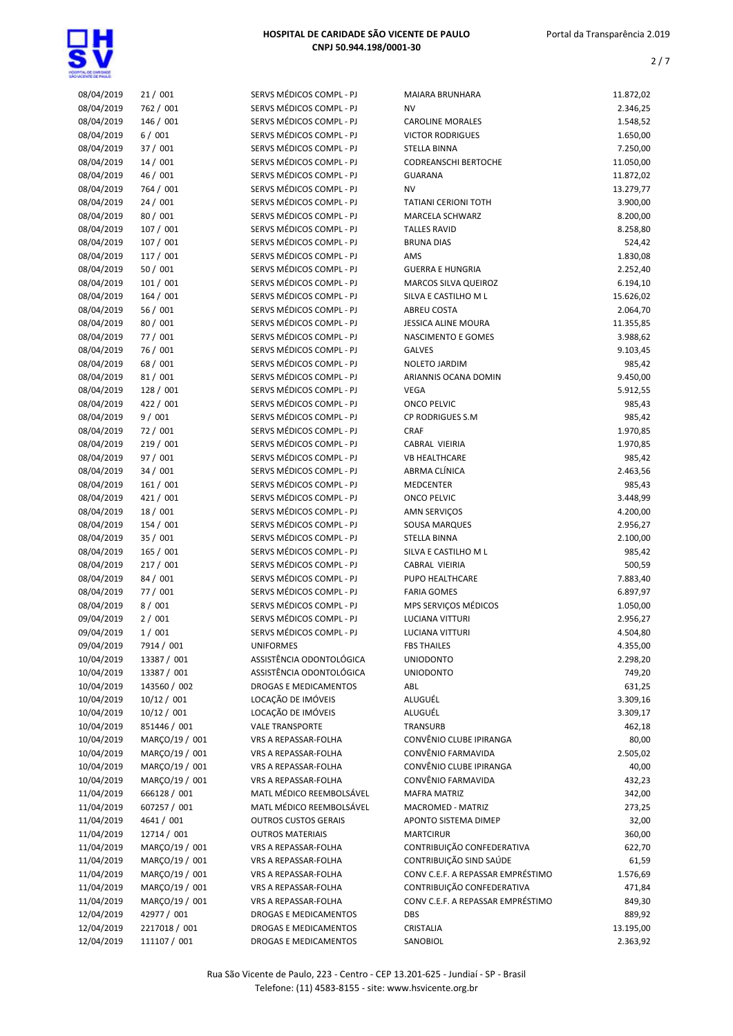

| 08/04/2019 | 21/001         | SERVS MÉDICOS COMPL - PJ    | <b>MAIARA BRUNHARA</b>            | 11.872,02 |
|------------|----------------|-----------------------------|-----------------------------------|-----------|
| 08/04/2019 | 762 / 001      | SERVS MÉDICOS COMPL - PJ    | <b>NV</b>                         | 2.346,25  |
| 08/04/2019 | 146 / 001      | SERVS MÉDICOS COMPL - PJ    | <b>CAROLINE MORALES</b>           | 1.548,52  |
| 08/04/2019 | 6/001          | SERVS MÉDICOS COMPL - PJ    | <b>VICTOR RODRIGUES</b>           | 1.650,00  |
| 08/04/2019 | 37 / 001       | SERVS MÉDICOS COMPL - PJ    | <b>STELLA BINNA</b>               | 7.250,00  |
| 08/04/2019 | 14/001         | SERVS MÉDICOS COMPL - PJ    | <b>CODREANSCHI BERTOCHE</b>       | 11.050,00 |
| 08/04/2019 | 46 / 001       | SERVS MÉDICOS COMPL - PJ    | <b>GUARANA</b>                    | 11.872,02 |
| 08/04/2019 | 764 / 001      | SERVS MÉDICOS COMPL - PJ    | NV                                | 13.279,77 |
|            |                |                             |                                   |           |
| 08/04/2019 | 24/001         | SERVS MÉDICOS COMPL - PJ    | <b>TATIANI CERIONI TOTH</b>       | 3.900,00  |
| 08/04/2019 | 80 / 001       | SERVS MÉDICOS COMPL - PJ    | <b>MARCELA SCHWARZ</b>            | 8.200,00  |
| 08/04/2019 | 107 / 001      | SERVS MÉDICOS COMPL - PJ    | <b>TALLES RAVID</b>               | 8.258,80  |
| 08/04/2019 | 107 / 001      | SERVS MÉDICOS COMPL - PJ    | <b>BRUNA DIAS</b>                 | 524,42    |
| 08/04/2019 | 117 / 001      | SERVS MÉDICOS COMPL - PJ    | AMS                               | 1.830,08  |
| 08/04/2019 | 50 / 001       | SERVS MÉDICOS COMPL - PJ    | <b>GUERRA E HUNGRIA</b>           | 2.252,40  |
| 08/04/2019 | 101 / 001      | SERVS MÉDICOS COMPL - PJ    | MARCOS SILVA QUEIROZ              | 6.194,10  |
| 08/04/2019 | 164/001        | SERVS MÉDICOS COMPL - PJ    | SILVA E CASTILHO M L              | 15.626,02 |
| 08/04/2019 | 56 / 001       | SERVS MÉDICOS COMPL - PJ    | <b>ABREU COSTA</b>                | 2.064,70  |
| 08/04/2019 | 80 / 001       | SERVS MÉDICOS COMPL - PJ    | <b>JESSICA ALINE MOURA</b>        | 11.355,85 |
|            |                | SERVS MÉDICOS COMPL - PJ    |                                   | 3.988,62  |
| 08/04/2019 | 77 / 001       |                             | NASCIMENTO E GOMES                |           |
| 08/04/2019 | 76 / 001       | SERVS MÉDICOS COMPL - PJ    | <b>GALVES</b>                     | 9.103,45  |
| 08/04/2019 | 68 / 001       | SERVS MÉDICOS COMPL - PJ    | <b>NOLETO JARDIM</b>              | 985,42    |
| 08/04/2019 | 81/001         | SERVS MÉDICOS COMPL - PJ    | ARIANNIS OCANA DOMIN              | 9.450,00  |
| 08/04/2019 | 128 / 001      | SERVS MÉDICOS COMPL - PJ    | <b>VEGA</b>                       | 5.912,55  |
| 08/04/2019 | 422 / 001      | SERVS MÉDICOS COMPL - PJ    | <b>ONCO PELVIC</b>                | 985,43    |
| 08/04/2019 | 9/001          | SERVS MÉDICOS COMPL - PJ    | CP RODRIGUES S.M                  | 985,42    |
| 08/04/2019 | 72 / 001       | SERVS MÉDICOS COMPL - PJ    | <b>CRAF</b>                       | 1.970,85  |
| 08/04/2019 | 219 / 001      | SERVS MÉDICOS COMPL - PJ    | CABRAL VIEIRIA                    | 1.970,85  |
| 08/04/2019 | 97 / 001       | SERVS MÉDICOS COMPL - PJ    | <b>VB HEALTHCARE</b>              | 985,42    |
| 08/04/2019 |                |                             | ABRMA CLÍNICA                     |           |
|            | 34/001         | SERVS MÉDICOS COMPL - PJ    |                                   | 2.463,56  |
| 08/04/2019 | 161 / 001      | SERVS MÉDICOS COMPL - PJ    | <b>MEDCENTER</b>                  | 985,43    |
| 08/04/2019 | 421 / 001      | SERVS MÉDICOS COMPL - PJ    | <b>ONCO PELVIC</b>                | 3.448,99  |
| 08/04/2019 | 18 / 001       | SERVS MÉDICOS COMPL - PJ    | AMN SERVIÇOS                      | 4.200,00  |
| 08/04/2019 | 154 / 001      | SERVS MÉDICOS COMPL - PJ    | SOUSA MARQUES                     | 2.956,27  |
| 08/04/2019 | 35 / 001       | SERVS MÉDICOS COMPL - PJ    | <b>STELLA BINNA</b>               | 2.100,00  |
| 08/04/2019 | 165 / 001      | SERVS MÉDICOS COMPL - PJ    | SILVA E CASTILHO M L              | 985,42    |
| 08/04/2019 | 217 / 001      | SERVS MÉDICOS COMPL - PJ    | CABRAL VIEIRIA                    | 500,59    |
| 08/04/2019 | 84 / 001       | SERVS MÉDICOS COMPL - PJ    | PUPO HEALTHCARE                   | 7.883,40  |
| 08/04/2019 | 77 / 001       | SERVS MÉDICOS COMPL - PJ    | <b>FARIA GOMES</b>                | 6.897,97  |
| 08/04/2019 | 8/001          | SERVS MÉDICOS COMPL - PJ    | MPS SERVIÇOS MÉDICOS              | 1.050,00  |
|            |                |                             |                                   |           |
| 09/04/2019 | 2/001          | SERVS MÉDICOS COMPL - PJ    | <b>LUCIANA VITTURI</b>            | 2.956,27  |
| 09/04/2019 | 1/001          | SERVS MÉDICOS COMPL - PJ    | LUCIANA VITTURI                   | 4.504,80  |
| 09/04/2019 | 7914 / 001     | <b>UNIFORMES</b>            | <b>FBS THAILES</b>                | 4.355,00  |
| 10/04/2019 | 13387 / 001    | ASSISTÊNCIA ODONTOLÓGICA    | <b>UNIODONTO</b>                  | 2.298,20  |
| 10/04/2019 | 13387 / 001    | ASSISTÊNCIA ODONTOLÓGICA    | <b>UNIODONTO</b>                  | 749,20    |
| 10/04/2019 | 143560 / 002   | DROGAS E MEDICAMENTOS       | ABL                               | 631,25    |
| 10/04/2019 | 10/12 / 001    | LOCAÇÃO DE IMÓVEIS          | ALUGUÉL                           | 3.309,16  |
| 10/04/2019 | 10/12 / 001    | LOCAÇÃO DE IMÓVEIS          | ALUGUÉL                           | 3.309,17  |
| 10/04/2019 | 851446 / 001   | <b>VALE TRANSPORTE</b>      | TRANSURB                          | 462,18    |
| 10/04/2019 | MARCO/19 / 001 | VRS A REPASSAR-FOLHA        | CONVÊNIO CLUBE IPIRANGA           | 80,00     |
| 10/04/2019 | MARCO/19 / 001 |                             | CONVÊNIO FARMAVIDA                |           |
|            |                | VRS A REPASSAR-FOLHA        |                                   | 2.505,02  |
| 10/04/2019 | MARÇO/19 / 001 | VRS A REPASSAR-FOLHA        | CONVÊNIO CLUBE IPIRANGA           | 40,00     |
| 10/04/2019 | MARÇO/19 / 001 | VRS A REPASSAR-FOLHA        | CONVÊNIO FARMAVIDA                | 432,23    |
| 11/04/2019 | 666128 / 001   | MATL MÉDICO REEMBOLSÁVEL    | <b>MAFRA MATRIZ</b>               | 342,00    |
| 11/04/2019 | 607257 / 001   | MATL MÉDICO REEMBOLSÁVEL    | MACROMED - MATRIZ                 | 273,25    |
| 11/04/2019 | 4641 / 001     | <b>OUTROS CUSTOS GERAIS</b> | APONTO SISTEMA DIMEP              | 32,00     |
| 11/04/2019 | 12714 / 001    | <b>OUTROS MATERIAIS</b>     | <b>MARTCIRUR</b>                  | 360,00    |
| 11/04/2019 | MARÇO/19 / 001 | VRS A REPASSAR-FOLHA        | CONTRIBUIÇÃO CONFEDERATIVA        | 622,70    |
| 11/04/2019 | MARÇO/19 / 001 | VRS A REPASSAR-FOLHA        | CONTRIBUIÇÃO SIND SAÚDE           | 61,59     |
| 11/04/2019 | MARÇO/19 / 001 | VRS A REPASSAR-FOLHA        | CONV C.E.F. A REPASSAR EMPRÉSTIMO | 1.576,69  |
| 11/04/2019 | MARÇO/19 / 001 | VRS A REPASSAR-FOLHA        | CONTRIBUIÇÃO CONFEDERATIVA        | 471,84    |
|            |                |                             |                                   |           |
| 11/04/2019 | MARÇO/19 / 001 | VRS A REPASSAR-FOLHA        | CONV C.E.F. A REPASSAR EMPRÉSTIMO | 849,30    |
| 12/04/2019 | 42977 / 001    | DROGAS E MEDICAMENTOS       | DBS                               | 889,92    |
| 12/04/2019 | 2217018 / 001  | DROGAS E MEDICAMENTOS       | CRISTALIA                         | 13.195,00 |
| 12/04/2019 | 111107 / 001   | DROGAS E MEDICAMENTOS       | SANOBIOL                          | 2.363,92  |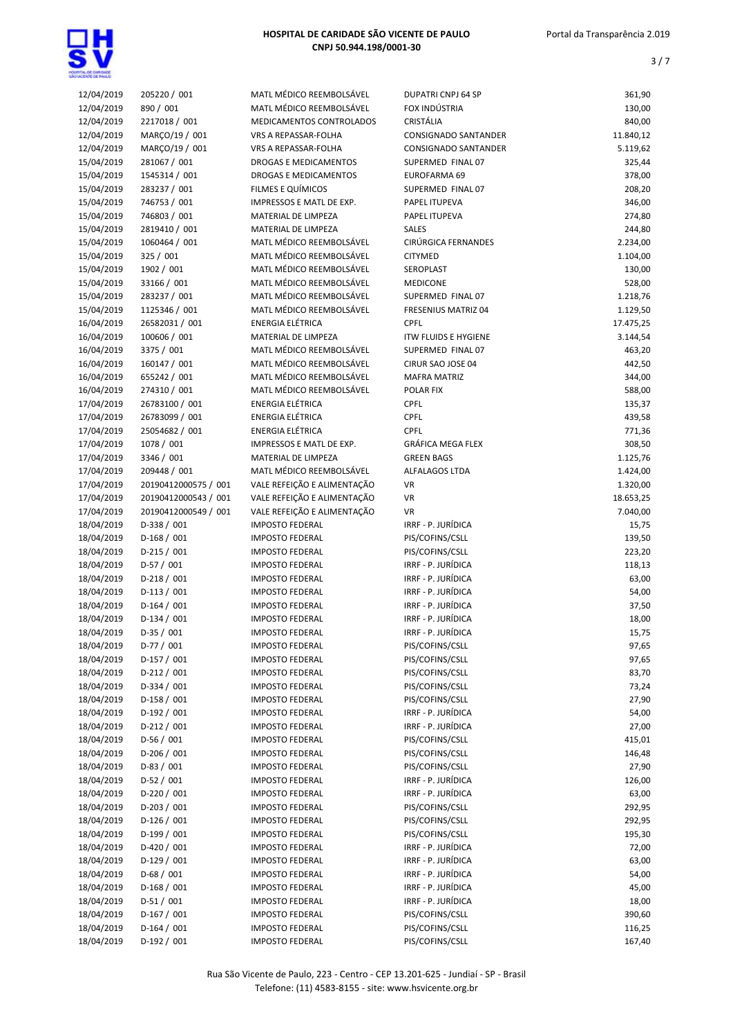

| 12/04/2019               | 205220 / 001         | MATL MÉDICO REEMBOLSÁVEL                         | <b>DUPATRI CNPJ 64 SP</b>          | 361,90          |
|--------------------------|----------------------|--------------------------------------------------|------------------------------------|-----------------|
| 12/04/2019               | 890 / 001            | MATL MÉDICO REEMBOLSÁVEL                         | FOX INDÚSTRIA                      | 130,00          |
| 12/04/2019               | 2217018 / 001        | MEDICAMENTOS CONTROLADOS                         | CRISTÁLIA                          | 840,00          |
| 12/04/2019               | MARÇO/19 / 001       | VRS A REPASSAR-FOLHA                             | <b>CONSIGNADO SANTANDER</b>        | 11.840,12       |
| 12/04/2019               | MARÇO/19 / 001       | VRS A REPASSAR-FOLHA                             | <b>CONSIGNADO SANTANDER</b>        | 5.119,62        |
| 15/04/2019               | 281067 / 001         | <b>DROGAS E MEDICAMENTOS</b>                     | SUPERMED FINAL 07                  | 325,44          |
| 15/04/2019               | 1545314 / 001        | DROGAS E MEDICAMENTOS                            | EUROFARMA 69                       | 378,00          |
| 15/04/2019               | 283237 / 001         | FILMES E QUÍMICOS                                | SUPERMED FINAL 07                  | 208,20          |
| 15/04/2019               | 746753 / 001         | IMPRESSOS E MATL DE EXP.                         | PAPEL ITUPEVA                      | 346,00          |
| 15/04/2019               | 746803 / 001         | MATERIAL DE LIMPEZA                              | PAPEL ITUPEVA                      | 274,80          |
| 15/04/2019               | 2819410 / 001        | MATERIAL DE LIMPEZA                              | <b>SALES</b>                       | 244,80          |
| 15/04/2019               | 1060464 / 001        | MATL MÉDICO REEMBOLSÁVEL                         | CIRÚRGICA FERNANDES                | 2.234,00        |
| 15/04/2019               | 325 / 001            | MATL MÉDICO REEMBOLSÁVEL                         | <b>CITYMED</b>                     | 1.104,00        |
| 15/04/2019               | 1902 / 001           | MATL MÉDICO REEMBOLSÁVEL                         | SEROPLAST                          | 130,00          |
| 15/04/2019               | 33166 / 001          | MATL MÉDICO REEMBOLSÁVEL                         | <b>MEDICONE</b>                    | 528,00          |
| 15/04/2019               | 283237 / 001         | MATL MÉDICO REEMBOLSÁVEL                         | SUPERMED FINAL 07                  | 1.218,76        |
| 15/04/2019               | 1125346 / 001        | MATL MÉDICO REEMBOLSÁVEL                         | FRESENIUS MATRIZ 04                | 1.129,50        |
| 16/04/2019               | 26582031 / 001       | <b>ENERGIA ELÉTRICA</b>                          | <b>CPFL</b>                        | 17.475,25       |
| 16/04/2019               | 100606 / 001         | MATERIAL DE LIMPEZA                              | <b>ITW FLUIDS E HYGIENE</b>        | 3.144,54        |
| 16/04/2019               | 3375 / 001           | MATL MÉDICO REEMBOLSÁVEL                         | SUPERMED FINAL 07                  | 463,20          |
| 16/04/2019               | 160147 / 001         | MATL MÉDICO REEMBOLSÁVEL                         | CIRUR SAO JOSE 04                  | 442,50          |
| 16/04/2019               | 655242 / 001         | MATL MÉDICO REEMBOLSÁVEL                         | <b>MAFRA MATRIZ</b>                | 344,00          |
| 16/04/2019               | 274310 / 001         | MATL MÉDICO REEMBOLSÁVEL                         | <b>POLAR FIX</b>                   | 588,00          |
| 17/04/2019               | 26783100 / 001       | <b>ENERGIA ELÉTRICA</b>                          | <b>CPFL</b>                        | 135,37          |
| 17/04/2019               | 26783099 / 001       | <b>ENERGIA ELÉTRICA</b>                          | <b>CPFL</b>                        | 439,58          |
| 17/04/2019               | 25054682 / 001       | <b>ENERGIA ELÉTRICA</b>                          | CPFL                               | 771,36          |
| 17/04/2019               | 1078 / 001           | IMPRESSOS E MATL DE EXP.                         | <b>GRÁFICA MEGA FLEX</b>           | 308,50          |
| 17/04/2019               | 3346 / 001           | MATERIAL DE LIMPEZA                              | <b>GREEN BAGS</b>                  | 1.125,76        |
| 17/04/2019               | 209448 / 001         | MATL MÉDICO REEMBOLSÁVEL                         | <b>ALFALAGOS LTDA</b>              | 1.424,00        |
| 17/04/2019               | 20190412000575 / 001 | VALE REFEIÇÃO E ALIMENTAÇÃO                      | VR                                 | 1.320,00        |
| 17/04/2019               | 20190412000543 / 001 | VALE REFEIÇÃO E ALIMENTAÇÃO                      | VR                                 | 18.653,25       |
| 17/04/2019               | 20190412000549 / 001 | VALE REFEIÇÃO E ALIMENTAÇÃO                      | <b>VR</b>                          | 7.040,00        |
| 18/04/2019               | D-338 / 001          | <b>IMPOSTO FEDERAL</b>                           | IRRF - P. JURÍDICA                 | 15,75           |
| 18/04/2019               | $D-168/001$          | <b>IMPOSTO FEDERAL</b>                           | PIS/COFINS/CSLL                    | 139,50          |
| 18/04/2019               | $D-215/001$          | <b>IMPOSTO FEDERAL</b>                           | PIS/COFINS/CSLL                    | 223,20          |
| 18/04/2019               | $D-57/001$           | <b>IMPOSTO FEDERAL</b>                           | IRRF - P. JURÍDICA                 | 118,13          |
| 18/04/2019               | $D-218/001$          | <b>IMPOSTO FEDERAL</b>                           | IRRF - P. JURÍDICA                 | 63,00           |
| 18/04/2019               | $D-113/001$          | <b>IMPOSTO FEDERAL</b>                           | IRRF - P. JURÍDICA                 | 54,00           |
| 18/04/2019               | $D-164/001$          | <b>IMPOSTO FEDERAL</b>                           | IRRF - P. JURÍDICA                 | 37,50           |
| 18/04/2019               | $D-134 / 001$        | <b>IMPOSTO FEDERAL</b>                           | IRRF - P. JURÍDICA                 | 18,00           |
| 18/04/2019               | $D-35/001$           | <b>IMPOSTO FEDERAL</b>                           | IRRF - P. JURÍDICA                 | 15,75           |
| 18/04/2019               | $D-77/001$           | <b>IMPOSTO FEDERAL</b>                           | PIS/COFINS/CSLL                    | 97,65           |
| 18/04/2019               | D-157 / 001          | <b>IMPOSTO FEDERAL</b>                           | PIS/COFINS/CSLL                    | 97,65           |
| 18/04/2019               | $D-212/001$          | <b>IMPOSTO FEDERAL</b>                           | PIS/COFINS/CSLL                    | 83,70           |
| 18/04/2019               | D-334 / 001          | <b>IMPOSTO FEDERAL</b>                           | PIS/COFINS/CSLL                    | 73,24           |
| 18/04/2019               | $D-158/001$          | <b>IMPOSTO FEDERAL</b>                           | PIS/COFINS/CSLL                    | 27,90           |
| 18/04/2019               | $D-192/001$          | <b>IMPOSTO FEDERAL</b>                           | IRRF - P. JURÍDICA                 | 54,00           |
| 18/04/2019               | D-212 / 001          | <b>IMPOSTO FEDERAL</b>                           | IRRF - P. JURÍDICA                 | 27,00           |
|                          | D-56 / 001           | <b>IMPOSTO FEDERAL</b>                           |                                    |                 |
| 18/04/2019               | D-206 / 001          |                                                  | PIS/COFINS/CSLL                    | 415,01          |
| 18/04/2019<br>18/04/2019 | D-83 / 001           | <b>IMPOSTO FEDERAL</b><br><b>IMPOSTO FEDERAL</b> | PIS/COFINS/CSLL<br>PIS/COFINS/CSLL | 146,48<br>27,90 |
| 18/04/2019               | $D-52/001$           | <b>IMPOSTO FEDERAL</b>                           | IRRF - P. JURÍDICA                 | 126,00          |
| 18/04/2019               | $D-220/001$          | <b>IMPOSTO FEDERAL</b>                           | IRRF - P. JURÍDICA                 | 63,00           |
|                          | D-203 / 001          |                                                  |                                    |                 |
| 18/04/2019               | $D-126/001$          | <b>IMPOSTO FEDERAL</b>                           | PIS/COFINS/CSLL                    | 292,95          |
| 18/04/2019               |                      | <b>IMPOSTO FEDERAL</b>                           | PIS/COFINS/CSLL                    | 292,95          |
| 18/04/2019               | D-199 / 001          | <b>IMPOSTO FEDERAL</b>                           | PIS/COFINS/CSLL                    | 195,30          |
| 18/04/2019               | D-420 / 001          | <b>IMPOSTO FEDERAL</b>                           | IRRF - P. JURÍDICA                 | 72,00           |
| 18/04/2019               | $D-129/001$          | <b>IMPOSTO FEDERAL</b>                           | IRRF - P. JURÍDICA                 | 63,00           |
| 18/04/2019               | $D-68/001$           | <b>IMPOSTO FEDERAL</b>                           | IRRF - P. JURÍDICA                 | 54,00           |
| 18/04/2019               | $D-168/001$          | <b>IMPOSTO FEDERAL</b>                           | IRRF - P. JURÍDICA                 | 45,00           |
| 18/04/2019               | $D-51/001$           | <b>IMPOSTO FEDERAL</b>                           | IRRF - P. JURÍDICA                 | 18,00           |
| 18/04/2019               | $D-167/001$          | <b>IMPOSTO FEDERAL</b>                           | PIS/COFINS/CSLL                    | 390,60          |
| 18/04/2019               | $D-164/001$          | <b>IMPOSTO FEDERAL</b>                           | PIS/COFINS/CSLL                    | 116,25          |
| 18/04/2019               | $D-192/001$          | <b>IMPOSTO FEDERAL</b>                           | PIS/COFINS/CSLL                    | 167,40          |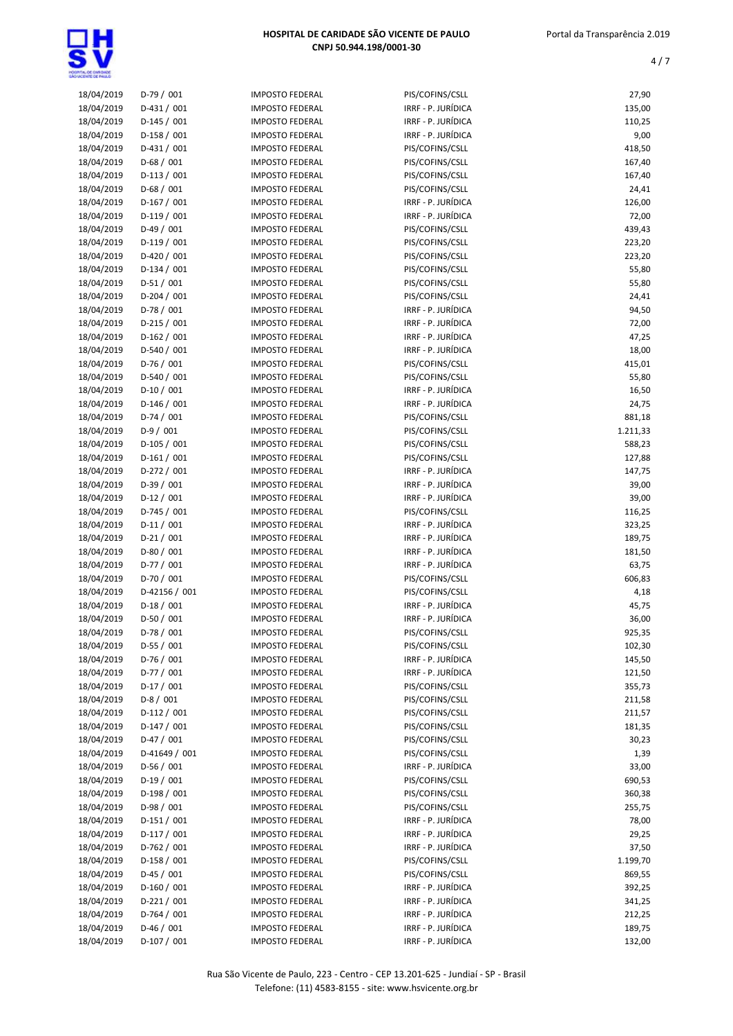| 18/04/2019 | $D-79/001$    | <b>IMPOSTO FEDERAL</b> | PIS/COFINS/CSLL    | 27,90    |
|------------|---------------|------------------------|--------------------|----------|
| 18/04/2019 | $D-431/001$   | <b>IMPOSTO FEDERAL</b> | IRRF - P. JURÍDICA | 135,00   |
| 18/04/2019 | $D-145/001$   | <b>IMPOSTO FEDERAL</b> | IRRF - P. JURÍDICA | 110,25   |
| 18/04/2019 | D-158 / 001   | <b>IMPOSTO FEDERAL</b> | IRRF - P. JURÍDICA | 9,00     |
| 18/04/2019 | $D-431/001$   | <b>IMPOSTO FEDERAL</b> | PIS/COFINS/CSLL    | 418,50   |
| 18/04/2019 | $D-68/001$    | <b>IMPOSTO FEDERAL</b> | PIS/COFINS/CSLL    | 167,40   |
| 18/04/2019 | $D-113 / 001$ | <b>IMPOSTO FEDERAL</b> | PIS/COFINS/CSLL    | 167,40   |
|            |               | <b>IMPOSTO FEDERAL</b> |                    |          |
| 18/04/2019 | $D-68/001$    |                        | PIS/COFINS/CSLL    | 24,41    |
| 18/04/2019 | $D-167/001$   | <b>IMPOSTO FEDERAL</b> | IRRF - P. JURÍDICA | 126,00   |
| 18/04/2019 | $D-119/001$   | <b>IMPOSTO FEDERAL</b> | IRRF - P. JURÍDICA | 72,00    |
| 18/04/2019 | $D-49/001$    | <b>IMPOSTO FEDERAL</b> | PIS/COFINS/CSLL    | 439,43   |
| 18/04/2019 | $D-119/001$   | <b>IMPOSTO FEDERAL</b> | PIS/COFINS/CSLL    | 223,20   |
| 18/04/2019 | D-420 / 001   | <b>IMPOSTO FEDERAL</b> | PIS/COFINS/CSLL    | 223,20   |
| 18/04/2019 | $D-134/001$   | <b>IMPOSTO FEDERAL</b> | PIS/COFINS/CSLL    | 55,80    |
| 18/04/2019 | $D-51/001$    | <b>IMPOSTO FEDERAL</b> | PIS/COFINS/CSLL    | 55,80    |
| 18/04/2019 | $D-204 / 001$ | <b>IMPOSTO FEDERAL</b> | PIS/COFINS/CSLL    | 24,41    |
|            | $D-78/001$    |                        | IRRF - P. JURÍDICA |          |
| 18/04/2019 |               | <b>IMPOSTO FEDERAL</b> |                    | 94,50    |
| 18/04/2019 | $D-215/001$   | <b>IMPOSTO FEDERAL</b> | IRRF - P. JURÍDICA | 72,00    |
| 18/04/2019 | $D-162/001$   | <b>IMPOSTO FEDERAL</b> | IRRF - P. JURÍDICA | 47,25    |
| 18/04/2019 | $D-540/001$   | <b>IMPOSTO FEDERAL</b> | IRRF - P. JURÍDICA | 18,00    |
| 18/04/2019 | $D-76/001$    | <b>IMPOSTO FEDERAL</b> | PIS/COFINS/CSLL    | 415,01   |
| 18/04/2019 | $D-540 / 001$ | <b>IMPOSTO FEDERAL</b> | PIS/COFINS/CSLL    | 55,80    |
| 18/04/2019 | $D-10/001$    | <b>IMPOSTO FEDERAL</b> | IRRF - P. JURÍDICA | 16,50    |
| 18/04/2019 | $D-146/001$   | <b>IMPOSTO FEDERAL</b> | IRRF - P. JURÍDICA | 24,75    |
| 18/04/2019 | $D-74/001$    | <b>IMPOSTO FEDERAL</b> | PIS/COFINS/CSLL    | 881,18   |
|            |               |                        |                    |          |
| 18/04/2019 | $D-9/001$     | <b>IMPOSTO FEDERAL</b> | PIS/COFINS/CSLL    | 1.211,33 |
| 18/04/2019 | D-105 / 001   | <b>IMPOSTO FEDERAL</b> | PIS/COFINS/CSLL    | 588,23   |
| 18/04/2019 | $D-161/001$   | <b>IMPOSTO FEDERAL</b> | PIS/COFINS/CSLL    | 127,88   |
| 18/04/2019 | $D-272 / 001$ | <b>IMPOSTO FEDERAL</b> | IRRF - P. JURÍDICA | 147,75   |
| 18/04/2019 | $D-39/001$    | <b>IMPOSTO FEDERAL</b> | IRRF - P. JURÍDICA | 39,00    |
| 18/04/2019 | $D-12/001$    | <b>IMPOSTO FEDERAL</b> | IRRF - P. JURÍDICA | 39,00    |
| 18/04/2019 | $D-745/001$   | <b>IMPOSTO FEDERAL</b> | PIS/COFINS/CSLL    | 116,25   |
| 18/04/2019 | $D-11/001$    | <b>IMPOSTO FEDERAL</b> | IRRF - P. JURÍDICA | 323,25   |
| 18/04/2019 | $D-21/001$    | <b>IMPOSTO FEDERAL</b> | IRRF - P. JURÍDICA | 189,75   |
| 18/04/2019 | $D-80/001$    | <b>IMPOSTO FEDERAL</b> | IRRF - P. JURÍDICA | 181,50   |
|            |               |                        |                    |          |
| 18/04/2019 | D-77 / 001    | <b>IMPOSTO FEDERAL</b> | IRRF - P. JURÍDICA | 63,75    |
| 18/04/2019 | $D-70/001$    | <b>IMPOSTO FEDERAL</b> | PIS/COFINS/CSLL    | 606,83   |
| 18/04/2019 | D-42156 / 001 | <b>IMPOSTO FEDERAL</b> | PIS/COFINS/CSLL    | 4,18     |
| 18/04/2019 | $D-18/001$    | <b>IMPOSTO FEDERAL</b> | IRRF - P. JURÍDICA | 45,75    |
| 18/04/2019 | $D-50/001$    | <b>IMPOSTO FEDERAL</b> | IRRF - P. JURÍDICA | 36,00    |
| 18/04/2019 | $D-78/001$    | <b>IMPOSTO FEDERAL</b> | PIS/COFINS/CSLL    | 925,35   |
| 18/04/2019 | $D-55/001$    | <b>IMPOSTO FEDERAL</b> | PIS/COFINS/CSLL    | 102,30   |
| 18/04/2019 | D-76 / 001    | <b>IMPOSTO FEDERAL</b> | IRRF - P. JURÍDICA | 145,50   |
| 18/04/2019 | D-77 / 001    | <b>IMPOSTO FEDERAL</b> | IRRF - P. JURÍDICA | 121,50   |
|            | $D-17/001$    |                        |                    |          |
| 18/04/2019 |               | <b>IMPOSTO FEDERAL</b> | PIS/COFINS/CSLL    | 355,73   |
| 18/04/2019 | $D-8/001$     | <b>IMPOSTO FEDERAL</b> | PIS/COFINS/CSLL    | 211,58   |
| 18/04/2019 | $D-112/001$   | <b>IMPOSTO FEDERAL</b> | PIS/COFINS/CSLL    | 211,57   |
| 18/04/2019 | $D-147/001$   | <b>IMPOSTO FEDERAL</b> | PIS/COFINS/CSLL    | 181,35   |
| 18/04/2019 | $D-47/001$    | <b>IMPOSTO FEDERAL</b> | PIS/COFINS/CSLL    | 30,23    |
| 18/04/2019 | D-41649 / 001 | <b>IMPOSTO FEDERAL</b> | PIS/COFINS/CSLL    | 1,39     |
| 18/04/2019 | $D-56/001$    | <b>IMPOSTO FEDERAL</b> | IRRF - P. JURÍDICA | 33,00    |
| 18/04/2019 | $D-19/001$    | <b>IMPOSTO FEDERAL</b> | PIS/COFINS/CSLL    | 690,53   |
| 18/04/2019 | $D-198/001$   | <b>IMPOSTO FEDERAL</b> | PIS/COFINS/CSLL    | 360,38   |
| 18/04/2019 |               |                        |                    |          |
|            | D-98 / 001    | <b>IMPOSTO FEDERAL</b> | PIS/COFINS/CSLL    | 255,75   |
| 18/04/2019 | $D-151/001$   | <b>IMPOSTO FEDERAL</b> | IRRF - P. JURÍDICA | 78,00    |
| 18/04/2019 | $D-117/001$   | <b>IMPOSTO FEDERAL</b> | IRRF - P. JURÍDICA | 29,25    |
| 18/04/2019 | D-762 / 001   | <b>IMPOSTO FEDERAL</b> | IRRF - P. JURÍDICA | 37,50    |
| 18/04/2019 | D-158 / 001   | <b>IMPOSTO FEDERAL</b> | PIS/COFINS/CSLL    | 1.199,70 |
| 18/04/2019 | D-45 / 001    | <b>IMPOSTO FEDERAL</b> | PIS/COFINS/CSLL    | 869,55   |
| 18/04/2019 | $D-160/001$   | <b>IMPOSTO FEDERAL</b> | IRRF - P. JURÍDICA | 392,25   |
| 18/04/2019 | $D-221/001$   | <b>IMPOSTO FEDERAL</b> | IRRF - P. JURÍDICA | 341,25   |
| 18/04/2019 | D-764 / 001   | <b>IMPOSTO FEDERAL</b> | IRRF - P. JURÍDICA | 212,25   |
| 18/04/2019 | $D-46/001$    | <b>IMPOSTO FEDERAL</b> | IRRF - P. JURÍDICA | 189,75   |
|            |               |                        |                    |          |
| 18/04/2019 | $D-107/001$   | <b>IMPOSTO FEDERAL</b> | IRRF - P. JURÍDICA | 132,00   |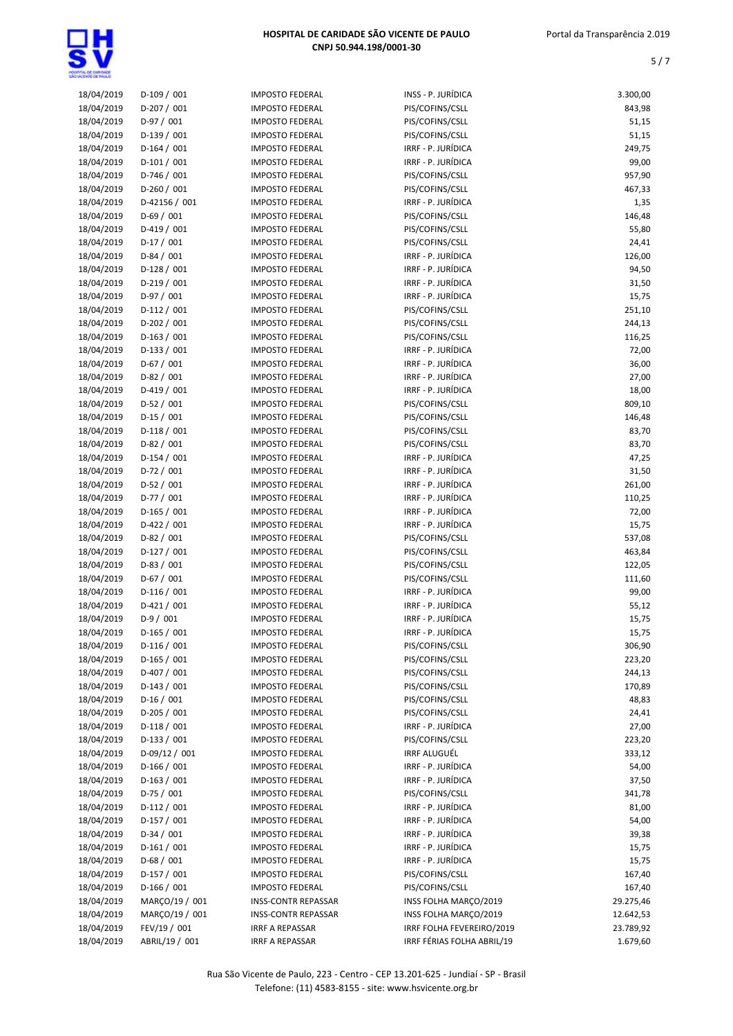| 18/04/2019 | $D-109/001$    | <b>IMPOSTO FEDERAL</b>     | INSS - P. JURÍDICA         | 3.300,00  |
|------------|----------------|----------------------------|----------------------------|-----------|
|            |                |                            |                            |           |
| 18/04/2019 | D-207 / 001    | <b>IMPOSTO FEDERAL</b>     | PIS/COFINS/CSLL            | 843,98    |
| 18/04/2019 | $D-97/001$     | <b>IMPOSTO FEDERAL</b>     | PIS/COFINS/CSLL            | 51,15     |
| 18/04/2019 | $D-139/001$    | <b>IMPOSTO FEDERAL</b>     | PIS/COFINS/CSLL            | 51,15     |
| 18/04/2019 | $D-164/001$    | <b>IMPOSTO FEDERAL</b>     | IRRF - P. JURÍDICA         | 249,75    |
| 18/04/2019 | $D-101/001$    | <b>IMPOSTO FEDERAL</b>     | IRRF - P. JURÍDICA         | 99,00     |
| 18/04/2019 | D-746 / 001    | <b>IMPOSTO FEDERAL</b>     | PIS/COFINS/CSLL            | 957,90    |
| 18/04/2019 | $D-260 / 001$  | <b>IMPOSTO FEDERAL</b>     | PIS/COFINS/CSLL            | 467,33    |
|            |                |                            |                            |           |
| 18/04/2019 | D-42156 / 001  | <b>IMPOSTO FEDERAL</b>     | IRRF - P. JURÍDICA         | 1,35      |
| 18/04/2019 | $D-69/001$     | <b>IMPOSTO FEDERAL</b>     | PIS/COFINS/CSLL            | 146,48    |
| 18/04/2019 | $D-419/001$    | <b>IMPOSTO FEDERAL</b>     | PIS/COFINS/CSLL            | 55,80     |
| 18/04/2019 | $D-17/001$     | <b>IMPOSTO FEDERAL</b>     | PIS/COFINS/CSLL            | 24,41     |
| 18/04/2019 | D-84 / 001     | <b>IMPOSTO FEDERAL</b>     | IRRF - P. JURÍDICA         | 126,00    |
| 18/04/2019 | D-128 / 001    | <b>IMPOSTO FEDERAL</b>     | IRRF - P. JURÍDICA         | 94,50     |
| 18/04/2019 | $D-219/001$    | <b>IMPOSTO FEDERAL</b>     | IRRF - P. JURÍDICA         | 31,50     |
| 18/04/2019 | $D-97/001$     | <b>IMPOSTO FEDERAL</b>     | IRRF - P. JURÍDICA         | 15,75     |
|            |                |                            |                            |           |
| 18/04/2019 | $D-112 / 001$  | <b>IMPOSTO FEDERAL</b>     | PIS/COFINS/CSLL            | 251,10    |
| 18/04/2019 | $D-202 / 001$  | <b>IMPOSTO FEDERAL</b>     | PIS/COFINS/CSLL            | 244,13    |
| 18/04/2019 | $D-163 / 001$  | <b>IMPOSTO FEDERAL</b>     | PIS/COFINS/CSLL            | 116,25    |
| 18/04/2019 | $D-133 / 001$  | <b>IMPOSTO FEDERAL</b>     | IRRF - P. JURÍDICA         | 72,00     |
| 18/04/2019 | $D-67/001$     | <b>IMPOSTO FEDERAL</b>     | IRRF - P. JURÍDICA         | 36,00     |
| 18/04/2019 | $D-82/001$     | <b>IMPOSTO FEDERAL</b>     | IRRF - P. JURÍDICA         | 27,00     |
| 18/04/2019 | $D-419/001$    | <b>IMPOSTO FEDERAL</b>     | IRRF - P. JURÍDICA         | 18,00     |
|            | $D-52/001$     | <b>IMPOSTO FEDERAL</b>     | PIS/COFINS/CSLL            | 809,10    |
| 18/04/2019 |                |                            |                            |           |
| 18/04/2019 | $D-15/001$     | <b>IMPOSTO FEDERAL</b>     | PIS/COFINS/CSLL            | 146,48    |
| 18/04/2019 | $D-118/001$    | <b>IMPOSTO FEDERAL</b>     | PIS/COFINS/CSLL            | 83,70     |
| 18/04/2019 | D-82 / 001     | <b>IMPOSTO FEDERAL</b>     | PIS/COFINS/CSLL            | 83,70     |
| 18/04/2019 | $D-154/001$    | <b>IMPOSTO FEDERAL</b>     | IRRF - P. JURÍDICA         | 47,25     |
| 18/04/2019 | $D-72/001$     | <b>IMPOSTO FEDERAL</b>     | IRRF - P. JURÍDICA         | 31,50     |
| 18/04/2019 | $D-52/001$     | <b>IMPOSTO FEDERAL</b>     | IRRF - P. JURÍDICA         | 261,00    |
| 18/04/2019 | $D-77/001$     | <b>IMPOSTO FEDERAL</b>     | IRRF - P. JURÍDICA         | 110,25    |
|            |                |                            |                            |           |
| 18/04/2019 | $D-165/001$    | <b>IMPOSTO FEDERAL</b>     | IRRF - P. JURÍDICA         | 72,00     |
| 18/04/2019 | $D-422 / 001$  | <b>IMPOSTO FEDERAL</b>     | IRRF - P. JURÍDICA         | 15,75     |
| 18/04/2019 | D-82 / 001     | <b>IMPOSTO FEDERAL</b>     | PIS/COFINS/CSLL            | 537,08    |
| 18/04/2019 | $D-127/001$    | <b>IMPOSTO FEDERAL</b>     | PIS/COFINS/CSLL            | 463,84    |
| 18/04/2019 | $D-83 / 001$   | <b>IMPOSTO FEDERAL</b>     | PIS/COFINS/CSLL            | 122,05    |
| 18/04/2019 | $D-67/001$     | <b>IMPOSTO FEDERAL</b>     | PIS/COFINS/CSLL            | 111,60    |
| 18/04/2019 | $D-116/001$    | <b>IMPOSTO FEDERAL</b>     | IRRF - P. JURÍDICA         | 99,00     |
| 18/04/2019 | $D-421/001$    | <b>IMPOSTO FEDERAL</b>     | IRRF - P. JURÍDICA         | 55,12     |
| 18/04/2019 | $D-9/001$      | <b>IMPOSTO FEDERAL</b>     | IRRF - P. JURÍDICA         |           |
|            |                |                            |                            | 15,75     |
| 18/04/2019 | $D-165/001$    | <b>IMPOSTO FEDERAL</b>     | IRRF - P. JURÍDICA         | 15,75     |
| 18/04/2019 | $D-116/001$    | <b>IMPOSTO FEDERAL</b>     | PIS/COFINS/CSLL            | 306,90    |
| 18/04/2019 | $D-165/001$    | <b>IMPOSTO FEDERAL</b>     | PIS/COFINS/CSLL            | 223,20    |
| 18/04/2019 | $D-407/001$    | <b>IMPOSTO FEDERAL</b>     | PIS/COFINS/CSLL            | 244,13    |
| 18/04/2019 | $D-143 / 001$  | <b>IMPOSTO FEDERAL</b>     | PIS/COFINS/CSLL            | 170,89    |
| 18/04/2019 | $D-16/001$     | <b>IMPOSTO FEDERAL</b>     | PIS/COFINS/CSLL            | 48,83     |
| 18/04/2019 | $D-205/001$    | <b>IMPOSTO FEDERAL</b>     | PIS/COFINS/CSLL            | 24,41     |
|            |                | <b>IMPOSTO FEDERAL</b>     | IRRF - P. JURÍDICA         |           |
| 18/04/2019 | $D-118/001$    |                            |                            | 27,00     |
| 18/04/2019 | $D-133 / 001$  | <b>IMPOSTO FEDERAL</b>     | PIS/COFINS/CSLL            | 223,20    |
| 18/04/2019 | D-09/12 / 001  | <b>IMPOSTO FEDERAL</b>     | IRRF ALUGUÉL               | 333,12    |
| 18/04/2019 | $D-166/001$    | <b>IMPOSTO FEDERAL</b>     | IRRF - P. JURÍDICA         | 54,00     |
| 18/04/2019 | $D-163 / 001$  | <b>IMPOSTO FEDERAL</b>     | IRRF - P. JURÍDICA         | 37,50     |
| 18/04/2019 | $D-75/001$     | <b>IMPOSTO FEDERAL</b>     | PIS/COFINS/CSLL            | 341,78    |
| 18/04/2019 | $D-112 / 001$  | <b>IMPOSTO FEDERAL</b>     | IRRF - P. JURÍDICA         | 81,00     |
| 18/04/2019 | $D-157/001$    | <b>IMPOSTO FEDERAL</b>     | IRRF - P. JURÍDICA         | 54,00     |
|            | $D-34/001$     | <b>IMPOSTO FEDERAL</b>     | IRRF - P. JURÍDICA         |           |
| 18/04/2019 |                |                            |                            | 39,38     |
| 18/04/2019 | $D-161/001$    | <b>IMPOSTO FEDERAL</b>     | IRRF - P. JURÍDICA         | 15,75     |
| 18/04/2019 | $D-68/001$     | <b>IMPOSTO FEDERAL</b>     | IRRF - P. JURÍDICA         | 15,75     |
| 18/04/2019 | $D-157/001$    | <b>IMPOSTO FEDERAL</b>     | PIS/COFINS/CSLL            | 167,40    |
| 18/04/2019 | $D-166/001$    | <b>IMPOSTO FEDERAL</b>     | PIS/COFINS/CSLL            | 167,40    |
| 18/04/2019 | MARÇO/19 / 001 | <b>INSS-CONTR REPASSAR</b> | INSS FOLHA MARÇO/2019      | 29.275,46 |
| 18/04/2019 | MARÇO/19 / 001 | <b>INSS-CONTR REPASSAR</b> | INSS FOLHA MARÇO/2019      | 12.642,53 |
| 18/04/2019 | FEV/19 / 001   | <b>IRRF A REPASSAR</b>     | IRRF FOLHA FEVEREIRO/2019  | 23.789,92 |
|            |                |                            |                            |           |
| 18/04/2019 | ABRIL/19 / 001 | IRRF A REPASSAR            | IRRF FÉRIAS FOLHA ABRIL/19 | 1.679,60  |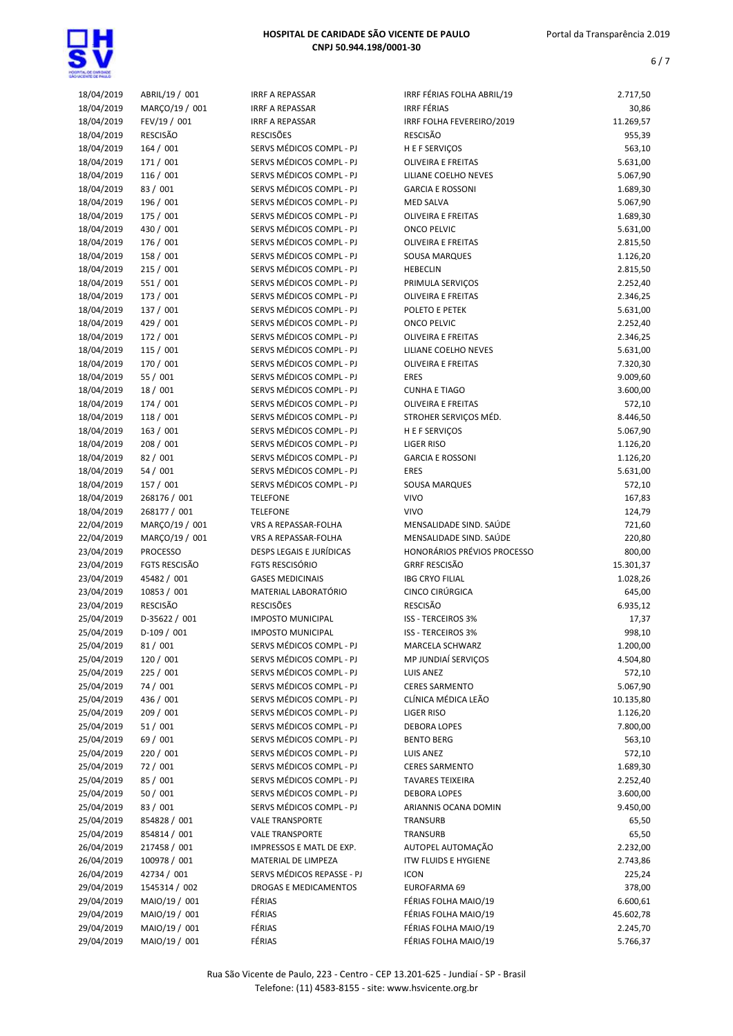|                          |                                  | <b>IRRF A REPASSAR</b>          | IRRF FÉRIAS FOLHA ABRIL/19                      |                      |
|--------------------------|----------------------------------|---------------------------------|-------------------------------------------------|----------------------|
| 18/04/2019<br>18/04/2019 | ABRIL/19 / 001<br>MARÇO/19 / 001 | <b>IRRF A REPASSAR</b>          | <b>IRRF FÉRIAS</b>                              | 2.717,50             |
|                          | FEV/19 / 001                     | <b>IRRF A REPASSAR</b>          |                                                 | 30,86                |
| 18/04/2019               |                                  | <b>RESCISÕES</b>                | IRRF FOLHA FEVEREIRO/2019<br><b>RESCISÃO</b>    | 11.269,57            |
| 18/04/2019<br>18/04/2019 | RESCISÃO                         | SERVS MÉDICOS COMPL - PJ        |                                                 | 955,39               |
|                          | 164/001<br>171 / 001             | SERVS MÉDICOS COMPL - PJ        | <b>HEFSERVIÇOS</b><br><b>OLIVEIRA E FREITAS</b> | 563,10<br>5.631,00   |
| 18/04/2019               |                                  |                                 |                                                 |                      |
| 18/04/2019               | 116 / 001                        | SERVS MÉDICOS COMPL - PJ        | LILIANE COELHO NEVES                            | 5.067,90             |
| 18/04/2019               | 83 / 001                         | SERVS MÉDICOS COMPL - PJ        | <b>GARCIA E ROSSONI</b>                         | 1.689,30             |
| 18/04/2019               | 196 / 001                        | SERVS MÉDICOS COMPL - PJ        | <b>MED SALVA</b>                                | 5.067,90             |
| 18/04/2019               | 175 / 001                        | SERVS MÉDICOS COMPL - PJ        | <b>OLIVEIRA E FREITAS</b>                       | 1.689,30             |
| 18/04/2019               | 430 / 001                        | SERVS MÉDICOS COMPL - PJ        | <b>ONCO PELVIC</b>                              | 5.631,00             |
| 18/04/2019               | 176 / 001                        | SERVS MÉDICOS COMPL - PJ        | <b>OLIVEIRA E FREITAS</b>                       | 2.815,50             |
| 18/04/2019               | 158 / 001                        | SERVS MÉDICOS COMPL - PJ        | <b>SOUSA MARQUES</b>                            | 1.126,20             |
| 18/04/2019               | 215 / 001                        | SERVS MÉDICOS COMPL - PJ        | <b>HEBECLIN</b>                                 | 2.815,50             |
| 18/04/2019               | 551 / 001                        | SERVS MÉDICOS COMPL - PJ        | PRIMULA SERVIÇOS                                | 2.252,40             |
| 18/04/2019               | 173 / 001                        | SERVS MÉDICOS COMPL - PJ        | <b>OLIVEIRA E FREITAS</b>                       | 2.346,25             |
| 18/04/2019               | 137 / 001                        | SERVS MÉDICOS COMPL - PJ        | POLETO E PETEK                                  | 5.631,00             |
| 18/04/2019               | 429 / 001                        | SERVS MÉDICOS COMPL - PJ        | <b>ONCO PELVIC</b>                              | 2.252,40             |
| 18/04/2019               | 172 / 001                        | SERVS MÉDICOS COMPL - PJ        | <b>OLIVEIRA E FREITAS</b>                       | 2.346,25             |
| 18/04/2019               | 115 / 001                        | SERVS MÉDICOS COMPL - PJ        | LILIANE COELHO NEVES                            | 5.631,00             |
| 18/04/2019               | 170 / 001                        | SERVS MÉDICOS COMPL - PJ        | <b>OLIVEIRA E FREITAS</b>                       | 7.320,30             |
| 18/04/2019               | 55 / 001                         | SERVS MÉDICOS COMPL - PJ        | <b>ERES</b>                                     | 9.009,60             |
| 18/04/2019               | 18 / 001                         | SERVS MÉDICOS COMPL - PJ        | <b>CUNHA E TIAGO</b>                            | 3.600,00             |
| 18/04/2019               | 174 / 001                        | SERVS MÉDICOS COMPL - PJ        | <b>OLIVEIRA E FREITAS</b>                       | 572,10               |
| 18/04/2019               | 118 / 001                        | SERVS MÉDICOS COMPL - PJ        | STROHER SERVIÇOS MÉD.                           | 8.446,50             |
| 18/04/2019               | 163 / 001                        | SERVS MÉDICOS COMPL - PJ        | H E F SERVIÇOS                                  | 5.067,90             |
| 18/04/2019               | 208 / 001                        | SERVS MÉDICOS COMPL - PJ        | <b>LIGER RISO</b>                               | 1.126,20             |
| 18/04/2019               | 82 / 001                         | SERVS MÉDICOS COMPL - PJ        | <b>GARCIA E ROSSONI</b>                         | 1.126,20             |
| 18/04/2019               | 54 / 001                         | SERVS MÉDICOS COMPL - PJ        | <b>ERES</b>                                     | 5.631,00             |
| 18/04/2019               | 157 / 001                        | SERVS MÉDICOS COMPL - PJ        | SOUSA MARQUES                                   | 572,10               |
| 18/04/2019               | 268176 / 001                     | <b>TELEFONE</b>                 | <b>VIVO</b>                                     | 167,83               |
| 18/04/2019               | 268177 / 001                     | <b>TELEFONE</b>                 | <b>VIVO</b>                                     | 124,79               |
| 22/04/2019               | MARCO/19 / 001                   | VRS A REPASSAR-FOLHA            | MENSALIDADE SIND. SAÚDE                         | 721,60               |
| 22/04/2019               | MARÇO/19 / 001                   | VRS A REPASSAR-FOLHA            | MENSALIDADE SIND. SAÚDE                         | 220,80               |
| 23/04/2019               | <b>PROCESSO</b>                  | <b>DESPS LEGAIS E JURÍDICAS</b> | HONORÁRIOS PRÉVIOS PROCESSO                     | 800,00               |
| 23/04/2019               | <b>FGTS RESCISÃO</b>             | <b>FGTS RESCISÓRIO</b>          | <b>GRRF RESCISÃO</b>                            | 15.301,37            |
| 23/04/2019               | 45482 / 001                      | <b>GASES MEDICINAIS</b>         | <b>IBG CRYO FILIAL</b>                          | 1.028,26             |
| 23/04/2019               | 10853 / 001                      | MATERIAL LABORATÓRIO            | CINCO CIRÚRGICA                                 | 645,00               |
| 23/04/2019               | <b>RESCISÃO</b>                  | <b>RESCISÕES</b>                | <b>RESCISÃO</b>                                 | 6.935,12             |
| 25/04/2019               | D-35622 / 001                    | <b>IMPOSTO MUNICIPAL</b>        | <b>ISS - TERCEIROS 3%</b>                       | 17,37                |
| 25/04/2019               | D-109 / 001                      | <b>IMPOSTO MUNICIPAL</b>        | <b>ISS - TERCEIROS 3%</b>                       | 998,10               |
| 25/04/2019               | 81/001                           | SERVS MÉDICOS COMPL - PJ        | MARCELA SCHWARZ                                 | 1.200,00             |
| 25/04/2019               | 120 / 001                        | SERVS MÉDICOS COMPL - PJ        | MP JUNDIAÍ SERVIÇOS                             | 4.504,80             |
| 25/04/2019               | 225 / 001                        | SERVS MÉDICOS COMPL - PJ        | LUIS ANEZ                                       | 572,10               |
| 25/04/2019               | 74 / 001                         | SERVS MÉDICOS COMPL - PJ        | <b>CERES SARMENTO</b>                           | 5.067,90             |
| 25/04/2019               | 436 / 001                        | SERVS MÉDICOS COMPL - PJ        | CLÍNICA MÉDICA LEÃO                             | 10.135,80            |
| 25/04/2019               |                                  |                                 |                                                 |                      |
| 25/04/2019               |                                  |                                 |                                                 |                      |
|                          | 209 / 001                        | SERVS MÉDICOS COMPL - PJ        | <b>LIGER RISO</b>                               | 1.126,20             |
|                          | 51 / 001                         | SERVS MÉDICOS COMPL - PJ        | <b>DEBORA LOPES</b>                             | 7.800,00             |
| 25/04/2019               | 69 / 001                         | SERVS MÉDICOS COMPL - PJ        | <b>BENTO BERG</b>                               | 563,10               |
| 25/04/2019               | 220 / 001                        | SERVS MÉDICOS COMPL - PJ        | <b>LUIS ANEZ</b>                                | 572,10               |
| 25/04/2019               | 72 / 001                         | SERVS MÉDICOS COMPL - PJ        | <b>CERES SARMENTO</b>                           | 1.689,30             |
| 25/04/2019               | 85 / 001                         | SERVS MÉDICOS COMPL - PJ        | <b>TAVARES TEIXEIRA</b>                         | 2.252,40             |
| 25/04/2019               | 50 / 001                         | SERVS MÉDICOS COMPL - PJ        | <b>DEBORA LOPES</b>                             | 3.600,00             |
| 25/04/2019               | 83 / 001                         | SERVS MÉDICOS COMPL - PJ        | ARIANNIS OCANA DOMIN                            | 9.450,00             |
| 25/04/2019               | 854828 / 001                     | <b>VALE TRANSPORTE</b>          | TRANSURB                                        | 65,50                |
| 25/04/2019               | 854814 / 001                     | <b>VALE TRANSPORTE</b>          | TRANSURB                                        | 65,50                |
| 26/04/2019               | 217458 / 001                     | IMPRESSOS E MATL DE EXP.        | AUTOPEL AUTOMAÇÃO                               | 2.232,00             |
| 26/04/2019               | 100978 / 001                     | MATERIAL DE LIMPEZA             | <b>ITW FLUIDS E HYGIENE</b>                     | 2.743,86             |
| 26/04/2019               | 42734 / 001                      | SERVS MÉDICOS REPASSE - PJ      | <b>ICON</b>                                     | 225,24               |
| 29/04/2019               | 1545314 / 002                    | DROGAS E MEDICAMENTOS           | EUROFARMA 69                                    | 378,00               |
| 29/04/2019               | MAIO/19 / 001                    | FÉRIAS                          | FÉRIAS FOLHA MAIO/19                            | 6.600,61             |
| 29/04/2019               | MAIO/19 / 001                    | FÉRIAS                          | FÉRIAS FOLHA MAIO/19                            | 45.602,78            |
| 29/04/2019<br>29/04/2019 | MAIO/19 / 001<br>MAIO/19 / 001   | FÉRIAS<br>FÉRIAS                | FÉRIAS FOLHA MAIO/19<br>FÉRIAS FOLHA MAIO/19    | 2.245,70<br>5.766,37 |